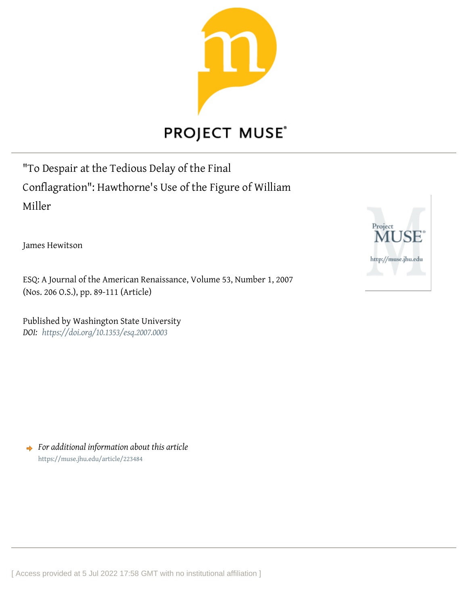

## **PROJECT MUSE®**

"To Despair at the Tedious Delay of the Final Conflagration": Hawthorne's Use of the Figure of William Miller

James Hewitson

ESQ: A Journal of the American Renaissance, Volume 53, Number 1, 2007 (Nos. 206 O.S.), pp. 89-111 (Article)

Published by Washington State University *DOI: <https://doi.org/10.1353/esq.2007.0003>*

*For additional information about this article* <https://muse.jhu.edu/article/223484>

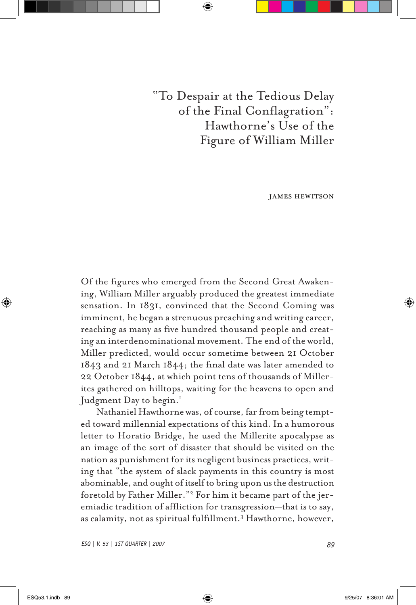"To Despair at the Tedious Delay of the Final Conflagration": Hawthorne's Use of the Figure of William Miller

james hewitson

Of the figures who emerged from the Second Great Awakening, William Miller arguably produced the greatest immediate sensation. In 1831, convinced that the Second Coming was imminent, he began a strenuous preaching and writing career, reaching as many as five hundred thousand people and creating an interdenominational movement. The end of the world, Miller predicted, would occur sometime between 21 October 1843 and 21 March 1844; the final date was later amended to 22 October 1844, at which point tens of thousands of Millerites gathered on hilltops, waiting for the heavens to open and Judgment Day to begin.<sup>1</sup>

Nathaniel Hawthorne was, of course, far from being tempted toward millennial expectations of this kind. In a humorous letter to Horatio Bridge, he used the Millerite apocalypse as an image of the sort of disaster that should be visited on the nation as punishment for its negligent business practices, writing that "the system of slack payments in this country is most abominable, and ought of itself to bring upon us the destruction foretold by Father Miller."2 For him it became part of the jeremiadic tradition of affliction for transgression—that is to say, as calamity, not as spiritual fulfillment.3 Hawthorne, however,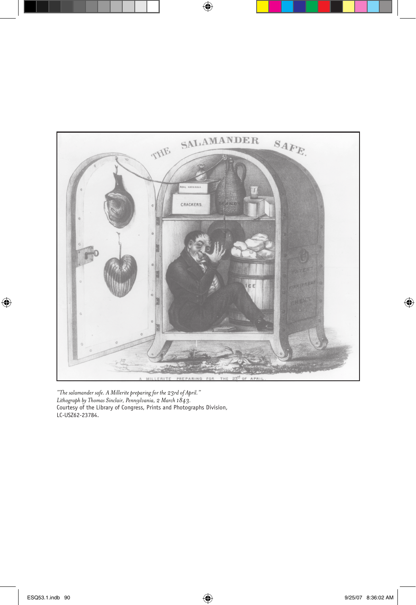

*"The salamander safe. A Millerite preparing for the 23rd of April." Lithograph by Thomas Sinclair, Pennsylvania, 2 March 1843.*  Courtesy of the Library of Congress, Prints and Photographs Division, LC-USZ62-23784.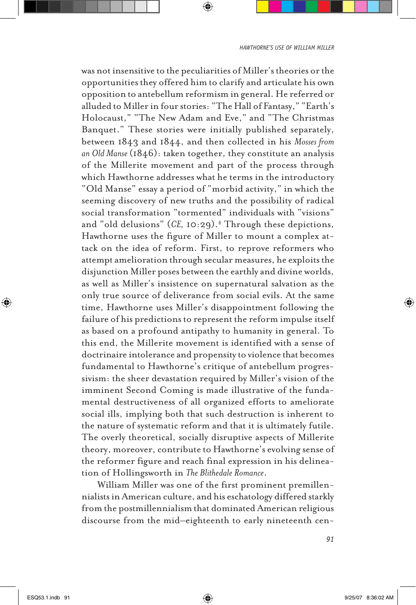was not insensitive to the peculiarities of Miller's theories or the opportunities they offered him to clarify and articulate his own opposition to antebellum reformism in general. He referred or alluded to Miller in four stories: "The Hall of Fantasy," "Earth's Holocaust," "The New Adam and Eve," and "The Christmas Banquet." These stories were initially published separately, between 1843 and 1844, and then collected in his *Mosses from an Old Manse* (1846): taken together, they constitute an analysis of the Millerite movement and part of the process through which Hawthorne addresses what he terms in the introductory "Old Manse" essay a period of "morbid activity," in which the seeming discovery of new truths and the possibility of radical social transformation "tormented" individuals with "visions" and "old delusions" (CE, 10:29).<sup>4</sup> Through these depictions, Hawthorne uses the figure of Miller to mount a complex attack on the idea of reform. First, to reprove reformers who attempt amelioration through secular measures, he exploits the disjunction Miller poses between the earthly and divine worlds, as well as Miller's insistence on supernatural salvation as the only true source of deliverance from social evils. At the same time, Hawthorne uses Miller's disappointment following the failure of his predictions to represent the reform impulse itself as based on a profound antipathy to humanity in general. To this end, the Millerite movement is identified with a sense of doctrinaire intolerance and propensity to violence that becomes fundamental to Hawthorne's critique of antebellum progressivism: the sheer devastation required by Miller's vision of the imminent Second Coming is made illustrative of the fundamental destructiveness of all organized efforts to ameliorate social ills, implying both that such destruction is inherent to the nature of systematic reform and that it is ultimately futile. The overly theoretical, socially disruptive aspects of Millerite theory, moreover, contribute to Hawthorne's evolving sense of the reformer figure and reach final expression in his delineation of Hollingsworth in *The Blithedale Romance*.

William Miller was one of the first prominent premillennialists in American culture, and his eschatology differed starkly from the postmillennialism that dominated American religious discourse from the mid–eighteenth to early nineteenth cen-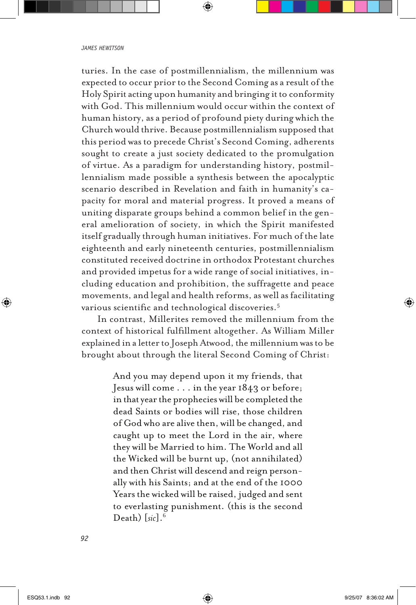turies. In the case of postmillennialism, the millennium was expected to occur prior to the Second Coming as a result of the Holy Spirit acting upon humanity and bringing it to conformity with God. This millennium would occur within the context of human history, as a period of profound piety during which the Church would thrive. Because postmillennialism supposed that this period was to precede Christ's Second Coming, adherents sought to create a just society dedicated to the promulgation of virtue. As a paradigm for understanding history, postmillennialism made possible a synthesis between the apocalyptic scenario described in Revelation and faith in humanity's capacity for moral and material progress. It proved a means of uniting disparate groups behind a common belief in the general amelioration of society, in which the Spirit manifested itself gradually through human initiatives. For much of the late eighteenth and early nineteenth centuries, postmillennialism constituted received doctrine in orthodox Protestant churches and provided impetus for a wide range of social initiatives, including education and prohibition, the suffragette and peace movements, and legal and health reforms, as well as facilitating various scientific and technological discoveries.5

In contrast, Millerites removed the millennium from the context of historical fulfillment altogether. As William Miller explained in a letter to Joseph Atwood, the millennium was to be brought about through the literal Second Coming of Christ:

> And you may depend upon it my friends, that Jesus will come . . . in the year 1843 or before; in that year the prophecies will be completed the dead Saints or bodies will rise, those children of God who are alive then, will be changed, and caught up to meet the Lord in the air, where they will be Married to him. The World and all the Wicked will be burnt up, (not annihilated) and then Christ will descend and reign personally with his Saints; and at the end of the 1000 Years the wicked will be raised, judged and sent to everlasting punishment. (this is the second Death) [*sic*].6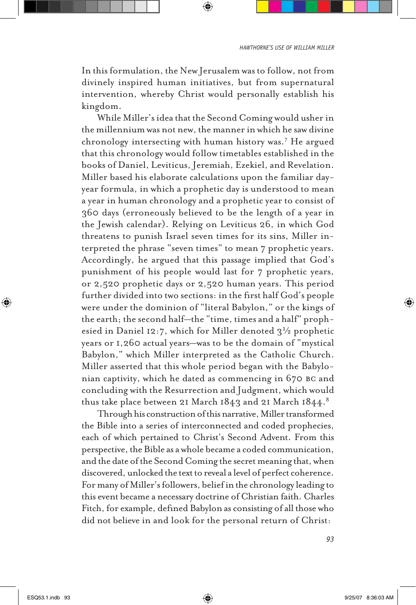In this formulation, the New Jerusalem was to follow, not from divinely inspired human initiatives, but from supernatural intervention, whereby Christ would personally establish his kingdom.

While Miller's idea that the Second Coming would usher in the millennium was not new, the manner in which he saw divine chronology intersecting with human history was.7 He argued that this chronology would follow timetables established in the books of Daniel, Leviticus, Jeremiah, Ezekiel, and Revelation. Miller based his elaborate calculations upon the familiar dayyear formula, in which a prophetic day is understood to mean a year in human chronology and a prophetic year to consist of 360 days (erroneously believed to be the length of a year in the Jewish calendar). Relying on Leviticus 26, in which God threatens to punish Israel seven times for its sins, Miller interpreted the phrase "seven times" to mean 7 prophetic years. Accordingly, he argued that this passage implied that God's punishment of his people would last for 7 prophetic years, or 2,520 prophetic days or 2,520 human years. This period further divided into two sections: in the first half God's people were under the dominion of "literal Babylon," or the kings of the earth; the second half—the "time, times and a half" prophesied in Daniel 12:7, which for Miller denoted  $3\frac{1}{2}$  prophetic years or 1,260 actual years—was to be the domain of "mystical Babylon," which Miller interpreted as the Catholic Church. Miller asserted that this whole period began with the Babylonian captivity, which he dated as commencing in 670 bc and concluding with the Resurrection and Judgment, which would thus take place between 21 March 1843 and 21 March 1844.<sup>8</sup>

Through his construction of this narrative, Miller transformed the Bible into a series of interconnected and coded prophecies, each of which pertained to Christ's Second Advent. From this perspective, the Bible as a whole became a coded communication, and the date of the Second Coming the secret meaning that, when discovered, unlocked the text to reveal a level of perfect coherence. For many of Miller's followers, belief in the chronology leading to this event became a necessary doctrine of Christian faith. Charles Fitch, for example, defined Babylon as consisting of all those who did not believe in and look for the personal return of Christ: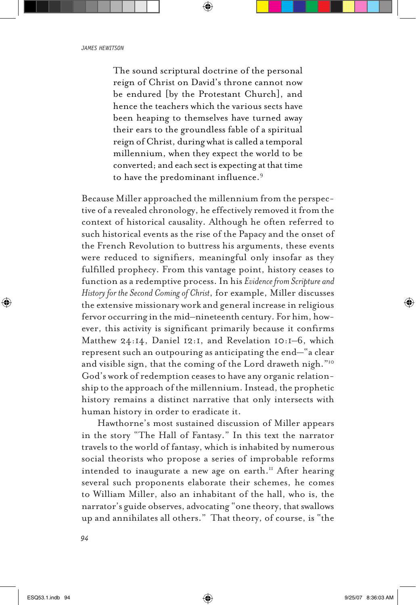The sound scriptural doctrine of the personal reign of Christ on David's throne cannot now be endured [by the Protestant Church], and hence the teachers which the various sects have been heaping to themselves have turned away their ears to the groundless fable of a spiritual reign of Christ, during what is called a temporal millennium, when they expect the world to be converted; and each sect is expecting at that time to have the predominant influence.9

Because Miller approached the millennium from the perspective of a revealed chronology, he effectively removed it from the context of historical causality. Although he often referred to such historical events as the rise of the Papacy and the onset of the French Revolution to buttress his arguments, these events were reduced to signifiers, meaningful only insofar as they fulfilled prophecy. From this vantage point, history ceases to function as a redemptive process. In his *Evidence from Scripture and History for the Second Coming of Christ*, for example, Miller discusses the extensive missionary work and general increase in religious fervor occurring in the mid–nineteenth century. For him, however, this activity is significant primarily because it confirms Matthew 24:14, Daniel 12:1, and Revelation 10:1–6, which represent such an outpouring as anticipating the end—"a clear and visible sign, that the coming of the Lord draweth nigh."10 God's work of redemption ceases to have any organic relationship to the approach of the millennium. Instead, the prophetic history remains a distinct narrative that only intersects with human history in order to eradicate it.

Hawthorne's most sustained discussion of Miller appears in the story "The Hall of Fantasy." In this text the narrator travels to the world of fantasy, which is inhabited by numerous social theorists who propose a series of improbable reforms intended to inaugurate a new age on earth.<sup>11</sup> After hearing several such proponents elaborate their schemes, he comes to William Miller, also an inhabitant of the hall, who is, the narrator's guide observes, advocating "one theory, that swallows up and annihilates all others." That theory, of course, is "the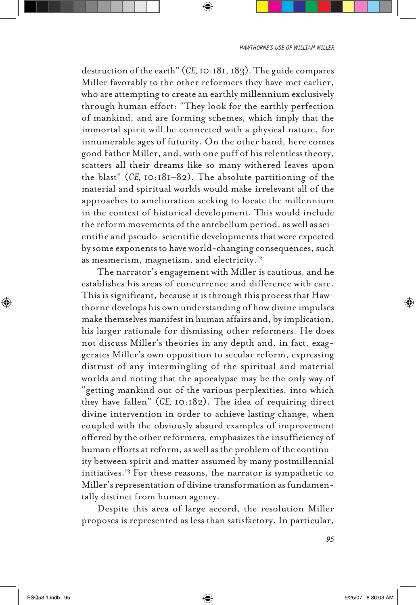destruction of the earth" (*CE,* 10:181, 183). The guide compares Miller favorably to the other reformers they have met earlier, who are attempting to create an earthly millennium exclusively through human effort: "They look for the earthly perfection of mankind, and are forming schemes, which imply that the immortal spirit will be connected with a physical nature, for innumerable ages of futurity. On the other hand, here comes good Father Miller, and, with one puff of his relentless theory, scatters all their dreams like so many withered leaves upon the blast" (*CE,* 10:181–82). The absolute partitioning of the material and spiritual worlds would make irrelevant all of the approaches to amelioration seeking to locate the millennium in the context of historical development. This would include the reform movements of the antebellum period, as well as scientific and pseudo-scientific developments that were expected by some exponents to have world-changing consequences, such as mesmerism, magnetism, and electricity.12

The narrator's engagement with Miller is cautious, and he establishes his areas of concurrence and difference with care. This is significant, because it is through this process that Hawthorne develops his own understanding of how divine impulses make themselves manifest in human affairs and, by implication, his larger rationale for dismissing other reformers. He does not discuss Miller's theories in any depth and, in fact, exaggerates Miller's own opposition to secular reform, expressing distrust of any intermingling of the spiritual and material worlds and noting that the apocalypse may be the only way of "getting mankind out of the various perplexities, into which they have fallen" (*CE,* 10:182). The idea of requiring direct divine intervention in order to achieve lasting change, when coupled with the obviously absurd examples of improvement offered by the other reformers, emphasizes the insufficiency of human efforts at reform, as well as the problem of the continuity between spirit and matter assumed by many postmillennial initiatives.13 For these reasons, the narrator is sympathetic to Miller's representation of divine transformation as fundamentally distinct from human agency.

Despite this area of large accord, the resolution Miller proposes is represented as less than satisfactory. In particular,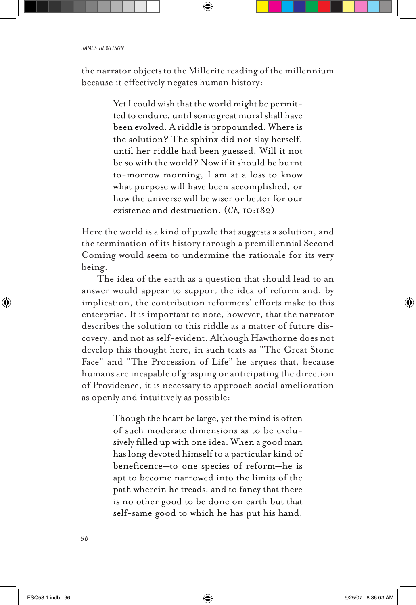the narrator objects to the Millerite reading of the millennium because it effectively negates human history:

> Yet I could wish that the world might be permitted to endure, until some great moral shall have been evolved. A riddle is propounded. Where is the solution? The sphinx did not slay herself, until her riddle had been guessed. Will it not be so with the world? Now if it should be burnt to-morrow morning, I am at a loss to know what purpose will have been accomplished, or how the universe will be wiser or better for our existence and destruction. (*CE,* 10:182)

Here the world is a kind of puzzle that suggests a solution, and the termination of its history through a premillennial Second Coming would seem to undermine the rationale for its very being.

The idea of the earth as a question that should lead to an answer would appear to support the idea of reform and, by implication, the contribution reformers' efforts make to this enterprise. It is important to note, however, that the narrator describes the solution to this riddle as a matter of future discovery, and not as self-evident. Although Hawthorne does not develop this thought here, in such texts as "The Great Stone Face" and "The Procession of Life" he argues that, because humans are incapable of grasping or anticipating the direction of Providence, it is necessary to approach social amelioration as openly and intuitively as possible:

> Though the heart be large, yet the mind is often of such moderate dimensions as to be exclusively filled up with one idea. When a good man has long devoted himself to a particular kind of beneficence—to one species of reform—he is apt to become narrowed into the limits of the path wherein he treads, and to fancy that there is no other good to be done on earth but that self-same good to which he has put his hand,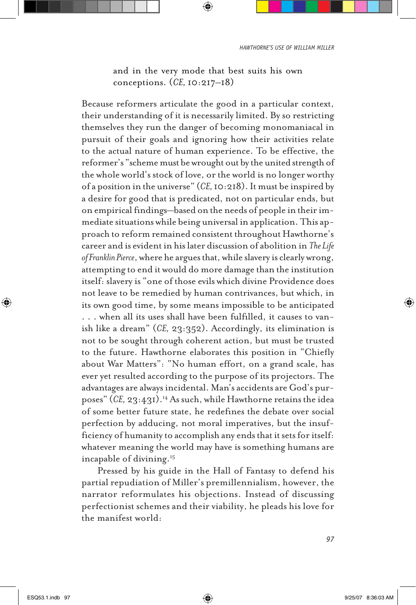and in the very mode that best suits his own conceptions. (*CE,* 10:217–18)

Because reformers articulate the good in a particular context, their understanding of it is necessarily limited. By so restricting themselves they run the danger of becoming monomaniacal in pursuit of their goals and ignoring how their activities relate to the actual nature of human experience. To be effective, the reformer's "scheme must be wrought out by the united strength of the whole world's stock of love, or the world is no longer worthy of a position in the universe" (*CE,* 10:218). It must be inspired by a desire for good that is predicated, not on particular ends, but on empirical findings—based on the needs of people in their immediate situations while being universal in application. This approach to reform remained consistent throughout Hawthorne's career and is evident in his later discussion of abolition in *The Life of Franklin Pierce*, where he argues that, while slavery is clearly wrong, attempting to end it would do more damage than the institution itself: slavery is "one of those evils which divine Providence does not leave to be remedied by human contrivances, but which, in its own good time, by some means impossible to be anticipated . . . when all its uses shall have been fulfilled, it causes to vanish like a dream" (*CE,* 23:352). Accordingly, its elimination is not to be sought through coherent action, but must be trusted to the future. Hawthorne elaborates this position in "Chiefly about War Matters": "No human effort, on a grand scale, has ever yet resulted according to the purpose of its projectors. The advantages are always incidental. Man's accidents are God's purposes" (*CE,* 23:431).14 As such, while Hawthorne retains the idea of some better future state, he redefines the debate over social perfection by adducing, not moral imperatives, but the insufficiency of humanity to accomplish any ends that it sets for itself: whatever meaning the world may have is something humans are incapable of divining.15

Pressed by his guide in the Hall of Fantasy to defend his partial repudiation of Miller's premillennialism, however, the narrator reformulates his objections. Instead of discussing perfectionist schemes and their viability, he pleads his love for the manifest world: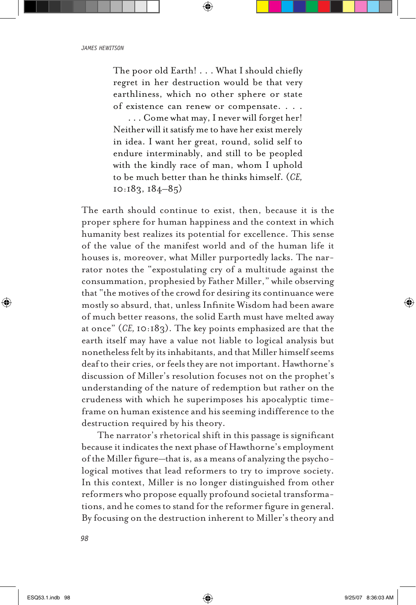The poor old Earth! . . . What I should chiefly regret in her destruction would be that very earthliness, which no other sphere or state of existence can renew or compensate. . . . . . . Come what may, I never will forget her!

Neither will it satisfy me to have her exist merely in idea. I want her great, round, solid self to endure interminably, and still to be peopled with the kindly race of man, whom I uphold to be much better than he thinks himself. (*CE,*  10:183, 184–85)

The earth should continue to exist, then, because it is the proper sphere for human happiness and the context in which humanity best realizes its potential for excellence. This sense of the value of the manifest world and of the human life it houses is, moreover, what Miller purportedly lacks. The narrator notes the "expostulating cry of a multitude against the consummation, prophesied by Father Miller," while observing that "the motives of the crowd for desiring its continuance were mostly so absurd, that, unless Infinite Wisdom had been aware of much better reasons, the solid Earth must have melted away at once" (*CE,* 10:183). The key points emphasized are that the earth itself may have a value not liable to logical analysis but nonetheless felt by its inhabitants, and that Miller himself seems deaf to their cries, or feels they are not important. Hawthorne's discussion of Miller's resolution focuses not on the prophet's understanding of the nature of redemption but rather on the crudeness with which he superimposes his apocalyptic timeframe on human existence and his seeming indifference to the destruction required by his theory.

The narrator's rhetorical shift in this passage is significant because it indicates the next phase of Hawthorne's employment of the Miller figure—that is, as a means of analyzing the psychological motives that lead reformers to try to improve society. In this context, Miller is no longer distinguished from other reformers who propose equally profound societal transformations, and he comes to stand for the reformer figure in general. By focusing on the destruction inherent to Miller's theory and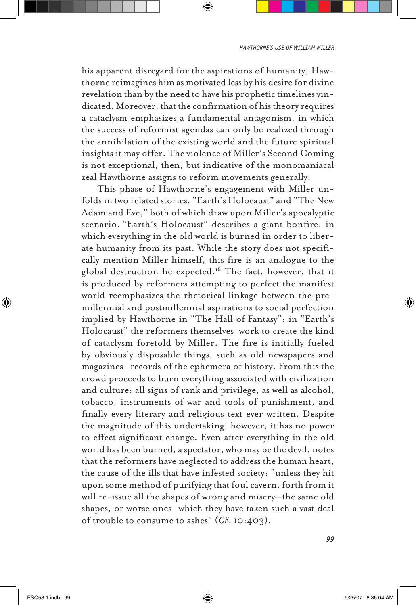his apparent disregard for the aspirations of humanity, Hawthorne reimagines him as motivated less by his desire for divine revelation than by the need to have his prophetic timelines vindicated. Moreover, that the confirmation of his theory requires a cataclysm emphasizes a fundamental antagonism, in which the success of reformist agendas can only be realized through the annihilation of the existing world and the future spiritual insights it may offer. The violence of Miller's Second Coming is not exceptional, then, but indicative of the monomaniacal zeal Hawthorne assigns to reform movements generally.

This phase of Hawthorne's engagement with Miller unfolds in two related stories, "Earth's Holocaust" and "The New Adam and Eve," both of which draw upon Miller's apocalyptic scenario. "Earth's Holocaust" describes a giant bonfire, in which everything in the old world is burned in order to liberate humanity from its past. While the story does not specifically mention Miller himself, this fire is an analogue to the global destruction he expected.<sup>16</sup> The fact, however, that it is produced by reformers attempting to perfect the manifest world reemphasizes the rhetorical linkage between the premillennial and postmillennial aspirations to social perfection implied by Hawthorne in "The Hall of Fantasy": in "Earth's Holocaust" the reformers themselves work to create the kind of cataclysm foretold by Miller. The fire is initially fueled by obviously disposable things, such as old newspapers and magazines—records of the ephemera of history. From this the crowd proceeds to burn everything associated with civilization and culture: all signs of rank and privilege, as well as alcohol, tobacco, instruments of war and tools of punishment, and finally every literary and religious text ever written. Despite the magnitude of this undertaking, however, it has no power to effect significant change. Even after everything in the old world has been burned, a spectator, who may be the devil, notes that the reformers have neglected to address the human heart, the cause of the ills that have infested society: "unless they hit upon some method of purifying that foul cavern, forth from it will re-issue all the shapes of wrong and misery—the same old shapes, or worse ones—which they have taken such a vast deal of trouble to consume to ashes" (*CE,* 10:403).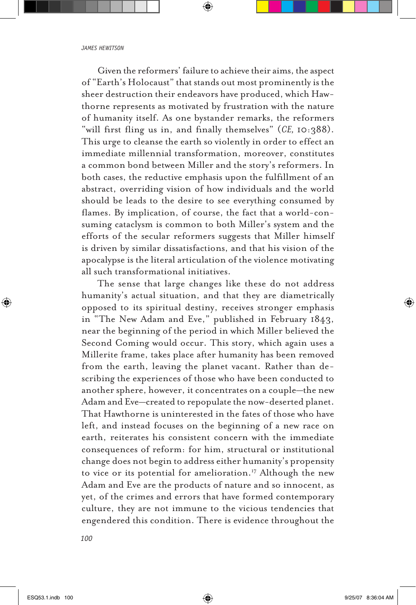Given the reformers' failure to achieve their aims, the aspect of "Earth's Holocaust" that stands out most prominently is the sheer destruction their endeavors have produced, which Hawthorne represents as motivated by frustration with the nature of humanity itself. As one bystander remarks, the reformers "will first fling us in, and finally themselves" (*CE,* 10:388). This urge to cleanse the earth so violently in order to effect an immediate millennial transformation, moreover, constitutes a common bond between Miller and the story's reformers. In both cases, the reductive emphasis upon the fulfillment of an abstract, overriding vision of how individuals and the world should be leads to the desire to see everything consumed by flames. By implication, of course, the fact that a world-consuming cataclysm is common to both Miller's system and the efforts of the secular reformers suggests that Miller himself is driven by similar dissatisfactions, and that his vision of the apocalypse is the literal articulation of the violence motivating all such transformational initiatives.

The sense that large changes like these do not address humanity's actual situation, and that they are diametrically opposed to its spiritual destiny, receives stronger emphasis in "The New Adam and Eve," published in February 1843, near the beginning of the period in which Miller believed the Second Coming would occur. This story, which again uses a Millerite frame, takes place after humanity has been removed from the earth, leaving the planet vacant. Rather than describing the experiences of those who have been conducted to another sphere, however, it concentrates on a couple—the new Adam and Eve—created to repopulate the now-deserted planet. That Hawthorne is uninterested in the fates of those who have left, and instead focuses on the beginning of a new race on earth, reiterates his consistent concern with the immediate consequences of reform: for him, structural or institutional change does not begin to address either humanity's propensity to vice or its potential for amelioration.<sup>17</sup> Although the new Adam and Eve are the products of nature and so innocent, as yet, of the crimes and errors that have formed contemporary culture, they are not immune to the vicious tendencies that engendered this condition. There is evidence throughout the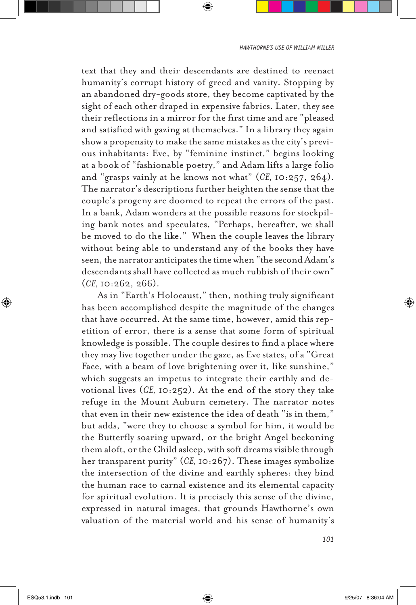text that they and their descendants are destined to reenact humanity's corrupt history of greed and vanity. Stopping by an abandoned dry-goods store, they become captivated by the sight of each other draped in expensive fabrics. Later, they see their reflections in a mirror for the first time and are "pleased and satisfied with gazing at themselves." In a library they again show a propensity to make the same mistakes as the city's previous inhabitants: Eve, by "feminine instinct," begins looking at a book of "fashionable poetry," and Adam lifts a large folio and "grasps vainly at he knows not what" (*CE,* 10:257, 264). The narrator's descriptions further heighten the sense that the couple's progeny are doomed to repeat the errors of the past. In a bank, Adam wonders at the possible reasons for stockpiling bank notes and speculates, "Perhaps, hereafter, we shall be moved to do the like." When the couple leaves the library without being able to understand any of the books they have seen, the narrator anticipates the time when "the second Adam's descendants shall have collected as much rubbish of their own" (*CE,* 10:262, 266).

As in "Earth's Holocaust," then, nothing truly significant has been accomplished despite the magnitude of the changes that have occurred. At the same time, however, amid this repetition of error, there is a sense that some form of spiritual knowledge is possible. The couple desires to find a place where they may live together under the gaze, as Eve states, of a "Great Face, with a beam of love brightening over it, like sunshine," which suggests an impetus to integrate their earthly and devotional lives (*CE,* 10:252). At the end of the story they take refuge in the Mount Auburn cemetery. The narrator notes that even in their new existence the idea of death "is in them," but adds, "were they to choose a symbol for him, it would be the Butterfly soaring upward, or the bright Angel beckoning them aloft, or the Child asleep, with soft dreams visible through her transparent purity" (*CE,* 10:267). These images symbolize the intersection of the divine and earthly spheres: they bind the human race to carnal existence and its elemental capacity for spiritual evolution. It is precisely this sense of the divine, expressed in natural images, that grounds Hawthorne's own valuation of the material world and his sense of humanity's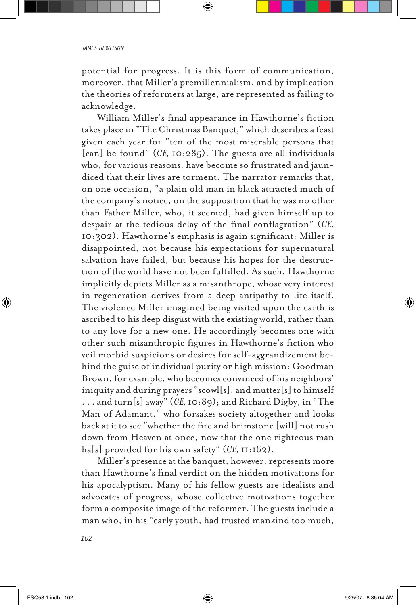potential for progress. It is this form of communication, moreover, that Miller's premillennialism, and by implication the theories of reformers at large, are represented as failing to acknowledge.

William Miller's final appearance in Hawthorne's fiction takes place in "The Christmas Banquet," which describes a feast given each year for "ten of the most miserable persons that [can] be found" (*CE,* 10:285). The guests are all individuals who, for various reasons, have become so frustrated and jaundiced that their lives are torment. The narrator remarks that, on one occasion, "a plain old man in black attracted much of the company's notice, on the supposition that he was no other than Father Miller, who, it seemed, had given himself up to despair at the tedious delay of the final conflagration" (*CE,*  10:302). Hawthorne's emphasis is again significant: Miller is disappointed, not because his expectations for supernatural salvation have failed, but because his hopes for the destruction of the world have not been fulfilled. As such, Hawthorne implicitly depicts Miller as a misanthrope, whose very interest in regeneration derives from a deep antipathy to life itself. The violence Miller imagined being visited upon the earth is ascribed to his deep disgust with the existing world, rather than to any love for a new one. He accordingly becomes one with other such misanthropic figures in Hawthorne's fiction who veil morbid suspicions or desires for self-aggrandizement behind the guise of individual purity or high mission: Goodman Brown, for example, who becomes convinced of his neighbors' iniquity and during prayers "scowl[s], and mutter[s] to himself . . . and turn[s] away" (*CE,* 10:89); and Richard Digby, in "The Man of Adamant," who forsakes society altogether and looks back at it to see "whether the fire and brimstone [will] not rush down from Heaven at once, now that the one righteous man ha[s] provided for his own safety" (*CE,* 11:162).

Miller's presence at the banquet, however, represents more than Hawthorne's final verdict on the hidden motivations for his apocalyptism. Many of his fellow guests are idealists and advocates of progress, whose collective motivations together form a composite image of the reformer. The guests include a man who, in his "early youth, had trusted mankind too much,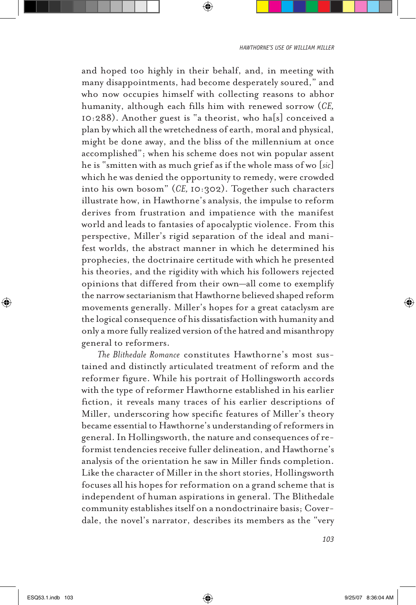and hoped too highly in their behalf, and, in meeting with many disappointments, had become desperately soured," and who now occupies himself with collecting reasons to abhor humanity, although each fills him with renewed sorrow (*CE,*  10:288). Another guest is "a theorist, who ha[s] conceived a plan by which all the wretchedness of earth, moral and physical, might be done away, and the bliss of the millennium at once accomplished"; when his scheme does not win popular assent he is "smitten with as much grief as if the whole mass of wo [*sic*] which he was denied the opportunity to remedy, were crowded into his own bosom" (*CE,* 10:302). Together such characters illustrate how, in Hawthorne's analysis, the impulse to reform derives from frustration and impatience with the manifest world and leads to fantasies of apocalyptic violence. From this perspective, Miller's rigid separation of the ideal and manifest worlds, the abstract manner in which he determined his prophecies, the doctrinaire certitude with which he presented his theories, and the rigidity with which his followers rejected opinions that differed from their own—all come to exemplify the narrow sectarianism that Hawthorne believed shaped reform movements generally. Miller's hopes for a great cataclysm are the logical consequence of his dissatisfaction with humanity and only a more fully realized version of the hatred and misanthropy general to reformers.

*The Blithedale Romance* constitutes Hawthorne's most sustained and distinctly articulated treatment of reform and the reformer figure. While his portrait of Hollingsworth accords with the type of reformer Hawthorne established in his earlier fiction, it reveals many traces of his earlier descriptions of Miller, underscoring how specific features of Miller's theory became essential to Hawthorne's understanding of reformers in general. In Hollingsworth, the nature and consequences of reformist tendencies receive fuller delineation, and Hawthorne's analysis of the orientation he saw in Miller finds completion. Like the character of Miller in the short stories, Hollingsworth focuses all his hopes for reformation on a grand scheme that is independent of human aspirations in general. The Blithedale community establishes itself on a nondoctrinaire basis; Coverdale, the novel's narrator, describes its members as the "very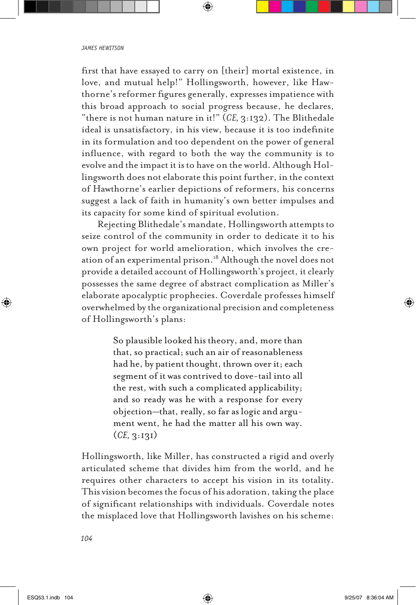## *james hewitson*

first that have essayed to carry on [their] mortal existence, in love, and mutual help!" Hollingsworth, however, like Hawthorne's reformer figures generally, expresses impatience with this broad approach to social progress because, he declares, "there is not human nature in it!" (*CE,* 3:132). The Blithedale ideal is unsatisfactory, in his view, because it is too indefinite in its formulation and too dependent on the power of general influence, with regard to both the way the community is to evolve and the impact it is to have on the world. Although Hollingsworth does not elaborate this point further, in the context of Hawthorne's earlier depictions of reformers, his concerns suggest a lack of faith in humanity's own better impulses and its capacity for some kind of spiritual evolution.

Rejecting Blithedale's mandate, Hollingsworth attempts to seize control of the community in order to dedicate it to his own project for world amelioration, which involves the creation of an experimental prison.18 Although the novel does not provide a detailed account of Hollingsworth's project, it clearly possesses the same degree of abstract complication as Miller's elaborate apocalyptic prophecies. Coverdale professes himself overwhelmed by the organizational precision and completeness of Hollingsworth's plans:

> So plausible looked his theory, and, more than that, so practical; such an air of reasonableness had he, by patient thought, thrown over it; each segment of it was contrived to dove-tail into all the rest, with such a complicated applicability; and so ready was he with a response for every objection—that, really, so far as logic and argument went, he had the matter all his own way. (*CE,* 3:131)

Hollingsworth, like Miller, has constructed a rigid and overly articulated scheme that divides him from the world, and he requires other characters to accept his vision in its totality. This vision becomes the focus of his adoration, taking the place of significant relationships with individuals. Coverdale notes the misplaced love that Hollingsworth lavishes on his scheme: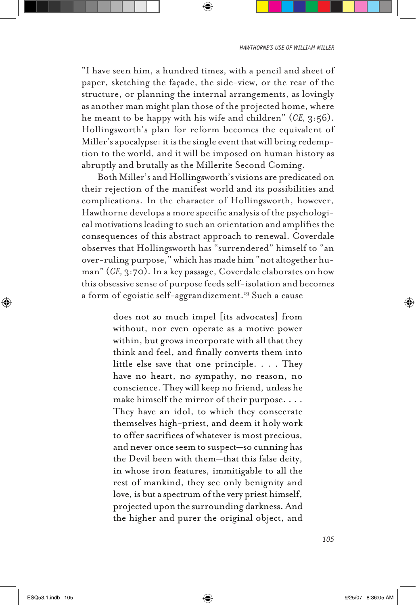"I have seen him, a hundred times, with a pencil and sheet of paper, sketching the façade, the side-view, or the rear of the structure, or planning the internal arrangements, as lovingly as another man might plan those of the projected home, where he meant to be happy with his wife and children" (*CE,* 3:56). Hollingsworth's plan for reform becomes the equivalent of Miller's apocalypse: it is the single event that will bring redemption to the world, and it will be imposed on human history as abruptly and brutally as the Millerite Second Coming.

Both Miller's and Hollingsworth's visions are predicated on their rejection of the manifest world and its possibilities and complications. In the character of Hollingsworth, however, Hawthorne develops a more specific analysis of the psychological motivations leading to such an orientation and amplifies the consequences of this abstract approach to renewal. Coverdale observes that Hollingsworth has "surrendered" himself to "an over-ruling purpose," which has made him "not altogether human" (*CE,* 3:70). In a key passage, Coverdale elaborates on how this obsessive sense of purpose feeds self-isolation and becomes a form of egoistic self-aggrandizement.19 Such a cause

> does not so much impel [its advocates] from without, nor even operate as a motive power within, but grows incorporate with all that they think and feel, and finally converts them into little else save that one principle. . . . They have no heart, no sympathy, no reason, no conscience. They will keep no friend, unless he make himself the mirror of their purpose. . . . They have an idol, to which they consecrate themselves high-priest, and deem it holy work to offer sacrifices of whatever is most precious, and never once seem to suspect—so cunning has the Devil been with them—that this false deity, in whose iron features, immitigable to all the rest of mankind, they see only benignity and love, is but a spectrum of the very priest himself, projected upon the surrounding darkness. And the higher and purer the original object, and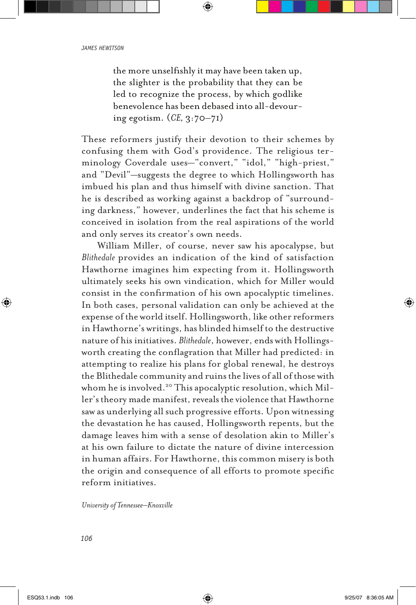the more unselfishly it may have been taken up, the slighter is the probability that they can be led to recognize the process, by which godlike benevolence has been debased into all-devouring egotism. (*CE,* 3:70–71)

These reformers justify their devotion to their schemes by confusing them with God's providence. The religious terminology Coverdale uses—"convert," "idol," "high-priest," and "Devil"—suggests the degree to which Hollingsworth has imbued his plan and thus himself with divine sanction. That he is described as working against a backdrop of "surrounding darkness," however, underlines the fact that his scheme is conceived in isolation from the real aspirations of the world and only serves its creator's own needs.

William Miller, of course, never saw his apocalypse, but *Blithedale* provides an indication of the kind of satisfaction Hawthorne imagines him expecting from it. Hollingsworth ultimately seeks his own vindication, which for Miller would consist in the confirmation of his own apocalyptic timelines. In both cases, personal validation can only be achieved at the expense of the world itself. Hollingsworth, like other reformers in Hawthorne's writings, has blinded himself to the destructive nature of his initiatives. *Blithedale*, however, ends with Hollingsworth creating the conflagration that Miller had predicted: in attempting to realize his plans for global renewal, he destroys the Blithedale community and ruins the lives of all of those with whom he is involved.<sup>20</sup> This apocalyptic resolution, which Miller's theory made manifest, reveals the violence that Hawthorne saw as underlying all such progressive efforts. Upon witnessing the devastation he has caused, Hollingsworth repents, but the damage leaves him with a sense of desolation akin to Miller's at his own failure to dictate the nature of divine intercession in human affairs. For Hawthorne, this common misery is both the origin and consequence of all efforts to promote specific reform initiatives.

*University of Tennessee–Knoxville*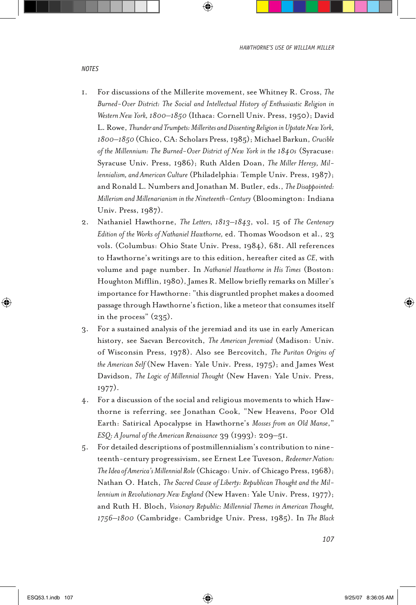- 1. For discussions of the Millerite movement, see Whitney R. Cross, *The Burned-Over District: The Social and Intellectual History of Enthusiastic Religion in Western New York, 1800–1850* (Ithaca: Cornell Univ. Press, 1950); David L. Rowe, *Thunder and Trumpets: Millerites and Dissenting Religion in Upstate New York, 1800–1850* (Chico, CA: Scholars Press, 1985); Michael Barkun, *Crucible of the Millennium: The Burned-Over District of New York in the 1840s* (Syracuse: Syracuse Univ. Press, 1986); Ruth Alden Doan, *The Miller Heresy, Millennialism, and American Culture* (Philadelphia: Temple Univ. Press, 1987); and Ronald L. Numbers and Jonathan M. Butler, eds., *The Disappointed: Millerism and Millenarianism in the Nineteenth-Century* (Bloomington: Indiana Univ. Press, 1987).
- 2. Nathaniel Hawthorne, *The Letters, 1813–1843*, vol. 15 of *The Centenary Edition of the Works of Nathaniel Hawthorne,* ed. Thomas Woodson et al., 23 vols. (Columbus: Ohio State Univ. Press, 1984), 681. All references to Hawthorne's writings are to this edition, hereafter cited as *CE*, with volume and page number. In *Nathaniel Hawthorne in His Times* (Boston: Houghton Mifflin, 1980), James R. Mellow briefly remarks on Miller's importance for Hawthorne: "this disgruntled prophet makes a doomed passage through Hawthorne's fiction, like a meteor that consumes itself in the process" (235).
- 3. For a sustained analysis of the jeremiad and its use in early American history, see Sacvan Bercovitch, *The American Jeremiad* (Madison: Univ. of Wisconsin Press, 1978). Also see Bercovitch, *The Puritan Origins of the American Self* (New Haven: Yale Univ. Press, 1975); and James West Davidson, *The Logic of Millennial Thought* (New Haven: Yale Univ. Press, 1977).
- 4. For a discussion of the social and religious movements to which Hawthorne is referring, see Jonathan Cook, "New Heavens, Poor Old Earth: Satirical Apocalypse in Hawthorne's *Mosses from an Old Manse*," *ESQ: A Journal of the American Renaissance* 39 (1993): 209–51.
- 5. For detailed descriptions of postmillennialism's contribution to nineteenth-century progressivism, see Ernest Lee Tuveson, *Redeemer Nation: The Idea of America's Millennial Role* (Chicago: Univ. of Chicago Press, 1968); Nathan O. Hatch, *The Sacred Cause of Liberty: Republican Thought and the Millennium in Revolutionary New England (*New Haven: Yale Univ. Press, 1977); and Ruth H. Bloch, *Visionary Republic: Millennial Themes in American Thought, 1756–1800* (Cambridge: Cambridge Univ. Press, 1985). In *The Black*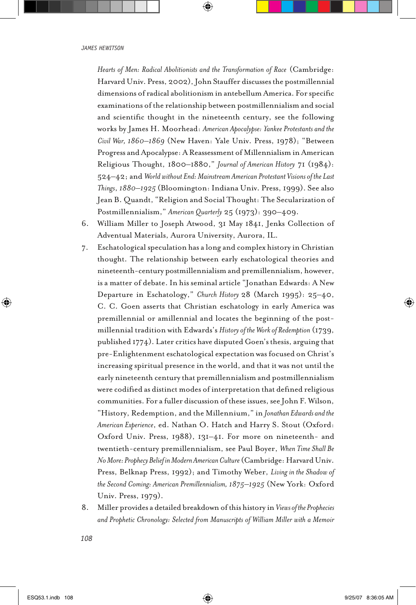*Hearts of Men: Radical Abolitionists and the Transformation of Race* (Cambridge: Harvard Univ. Press, 2002), John Stauffer discusses the postmillennial dimensions of radical abolitionism in antebellum America. For specific examinations of the relationship between postmillennialism and social and scientific thought in the nineteenth century, see the following works by James H. Moorhead: *American Apocalypse: Yankee Protestants and the Civil War, 1860–1869* (New Haven: Yale Univ. Press, 1978); "Between Progress and Apocalypse: A Reassessment of Millennialism in American Religious Thought, 1800–1880," *Journal of American History* 71 (1984): 524–42; and *World without End: Mainstream American Protestant Visions of the Last Things*, *1880–1925* (Bloomington: Indiana Univ. Press, 1999). See also Jean B. Quandt, "Religion and Social Thought: The Secularization of Postmillennialism," *American Quarterly* 25 (1973): 390–409.

- 6. William Miller to Joseph Atwood, 31 May 1841, Jenks Collection of Adventual Materials, Aurora University, Aurora, IL.
- 7. Eschatological speculation has a long and complex history in Christian thought. The relationship between early eschatological theories and nineteenth-century postmillennialism and premillennialism, however, is a matter of debate. In his seminal article "Jonathan Edwards: A New Departure in Eschatology," *Church History* 28 (March 1995): 25–40, C. C. Goen asserts that Christian eschatology in early America was premillennial or amillennial and locates the beginning of the postmillennial tradition with Edwards's *History of the Work of Redemption* (1739, published 1774). Later critics have disputed Goen's thesis, arguing that pre-Enlightenment eschatological expectation was focused on Christ's increasing spiritual presence in the world, and that it was not until the early nineteenth century that premillennialism and postmillennialism were codified as distinct modes of interpretation that defined religious communities. For a fuller discussion of these issues, see John F. Wilson, "History, Redemption, and the Millennium," in *Jonathan Edwards and the American Experience*, ed. Nathan O. Hatch and Harry S. Stout (Oxford: Oxford Univ. Press, 1988), 131–41. For more on nineteenth- and twentieth-century premillennialism, see Paul Boyer, *When Time Shall Be No More: Prophecy Belief in Modern American Culture* (Cambridge: Harvard Univ. Press, Belknap Press, 1992); and Timothy Weber, *Living in the Shadow of the Second Coming: American Premillennialism, 1875–1925* (New York: Oxford Univ. Press, 1979).
- 8. Miller provides a detailed breakdown of this history in *Views of the Prophecies and Prophetic Chronology: Selected from Manuscripts of William Miller with a Memoir*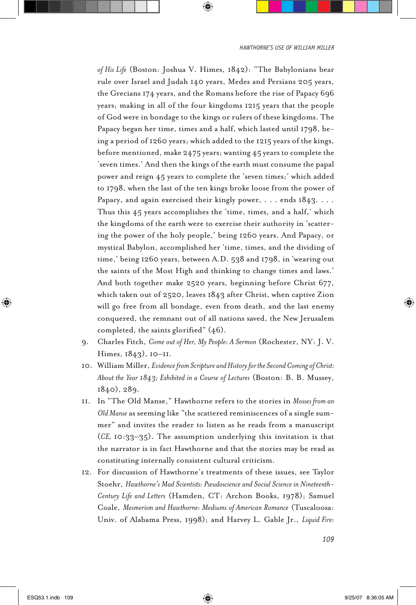*of His Life* (Boston: Joshua V. Himes, 1842): "The Babylonians bear rule over Israel and Judah 140 years, Medes and Persians 205 years, the Grecians 174 years, and the Romans before the rise of Papacy 696 years; making in all of the four kingdoms 1215 years that the people of God were in bondage to the kings or rulers of these kingdoms. The Papacy began her time, times and a half, which lasted until 1798, being a period of 1260 years; which added to the 1215 years of the kings, before mentioned, make 2475 years; wanting 45 years to complete the 'seven times.' And then the kings of the earth must consume the papal power and reign 45 years to complete the 'seven times;' which added to 1798, when the last of the ten kings broke loose from the power of Papacy, and again exercised their kingly power, . . . ends 1843. . . . Thus this 45 years accomplishes the 'time, times, and a half,' which the kingdoms of the earth were to exercise their authority in 'scattering the power of the holy people,' being 1260 years. And Papacy, or mystical Babylon, accomplished her 'time, times, and the dividing of time,' being 1260 years, between A.D. 538 and 1798, in 'wearing out the saints of the Most High and thinking to change times and laws.' And both together make 2520 years, beginning before Christ 677, which taken out of 2520, leaves 1843 after Christ, when captive Zion will go free from all bondage, even from death, and the last enemy conquered, the remnant out of all nations saved, the New Jerusalem completed, the saints glorified" (46).

- 9. Charles Fitch, *Come out of Her, My People: A Sermon* (Rochester, NY: J. V. Himes, 1843), 10–11.
- 10. William Miller, *Evidence from Scripture and History for the Second Coming of Christ: About the Year 1843; Exhibited in a Course of Lectures* (Boston: B. B. Mussey, 1840), 289.
- 11. In "The Old Manse," Hawthorne refers to the stories in *Mosses from an Old Manse* as seeming like "the scattered reminiscences of a single summer" and invites the reader to listen as he reads from a manuscript (*CE,* 10:33–35). The assumption underlying this invitation is that the narrator is in fact Hawthorne and that the stories may be read as constituting internally consistent cultural criticism.
- 12. For discussion of Hawthorne's treatments of these issues, see Taylor Stoehr, *Hawthorne's Mad Scientists: Pseudoscience and Social Science in Nineteenth-Century Life and Letters* (Hamden, CT: Archon Books, 1978); Samuel Coale, *Mesmerism and Hawthorne: Mediums of American Romance* (Tuscaloosa: Univ. of Alabama Press, 1998); and Harvey L. Gable Jr., *Liquid Fire:*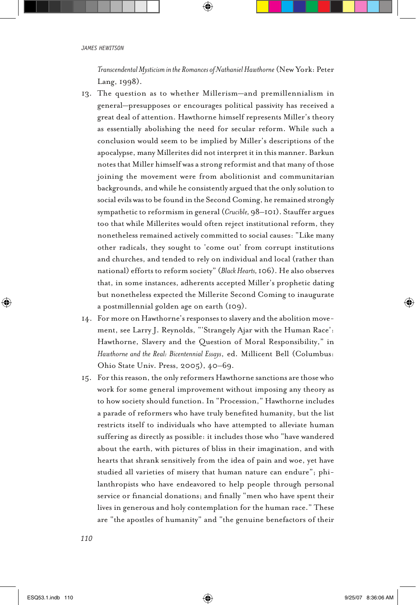*Transcendental Mysticism in the Romances of Nathaniel Hawthorne* (New York: Peter Lang, 1998).

- 13. The question as to whether Millerism—and premillennialism in general—presupposes or encourages political passivity has received a great deal of attention. Hawthorne himself represents Miller's theory as essentially abolishing the need for secular reform. While such a conclusion would seem to be implied by Miller's descriptions of the apocalypse, many Millerites did not interpret it in this manner. Barkun notes that Miller himself was a strong reformist and that many of those joining the movement were from abolitionist and communitarian backgrounds, and while he consistently argued that the only solution to social evils was to be found in the Second Coming, he remained strongly sympathetic to reformism in general (*Crucible,* 98–101). Stauffer argues too that while Millerites would often reject institutional reform, they nonetheless remained actively committed to social causes: "Like many other radicals, they sought to 'come out' from corrupt institutions and churches, and tended to rely on individual and local (rather than national) efforts to reform society" (*Black Hearts,* 106). He also observes that, in some instances, adherents accepted Miller's prophetic dating but nonetheless expected the Millerite Second Coming to inaugurate a postmillennial golden age on earth (109).
- 14. For more on Hawthorne's responses to slavery and the abolition movement, see Larry J. Reynolds, "'Strangely Ajar with the Human Race': Hawthorne, Slavery and the Question of Moral Responsibility," in *Hawthorne and the Real: Bicentennial Essays*, ed. Millicent Bell (Columbus: Ohio State Univ. Press, 2005), 40–69.
- 15. For this reason, the only reformers Hawthorne sanctions are those who work for some general improvement without imposing any theory as to how society should function. In "Procession," Hawthorne includes a parade of reformers who have truly benefited humanity, but the list restricts itself to individuals who have attempted to alleviate human suffering as directly as possible: it includes those who "have wandered about the earth, with pictures of bliss in their imagination, and with hearts that shrank sensitively from the idea of pain and woe, yet have studied all varieties of misery that human nature can endure"; philanthropists who have endeavored to help people through personal service or financial donations; and finally "men who have spent their lives in generous and holy contemplation for the human race." These are "the apostles of humanity" and "the genuine benefactors of their